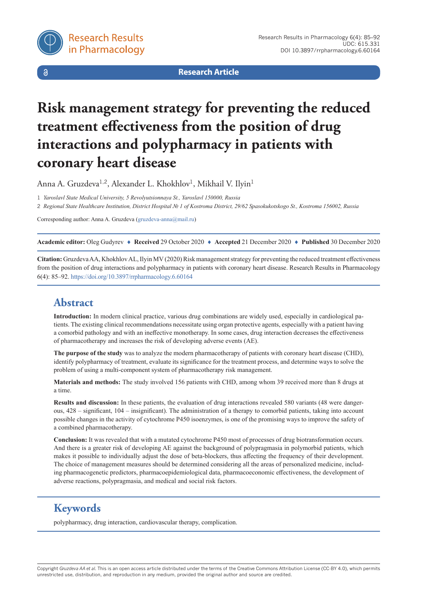

 $\delta$ 

**Research Article**

# **Risk management strategy for preventing the reduced treatment effectiveness from the position of drug interactions and polypharmacy in patients with coronary heart disease**

Anna A. Gruzdeva<sup>1,2</sup>, Alexander L. Khokhlov<sup>1</sup>, Mikhail V. Ilyin<sup>1</sup>

1 *Yaroslavl State Medical University, 5 Revolyutsionnaya St., Yaroslavl 150000, Russia*

2 Regional State Healthcare Institution, District Hospital Nº 1 of Kostroma District, 29/62 Spasokukotskogo St., Kostroma 156002, Russia

Corresponding author: Anna A. Gruzdeva [\(gruzdeva-anna@mail.ru\)](mailto:gruzdeva-anna@mail.ru)

**Academic editor:** Oleg Gudyrev ♦ **Received** 29 October 2020 ♦ **Accepted** 21 December 2020 ♦ **Published** 30 December 2020

**Citation:** Gruzdeva AA, Khokhlov AL, Ilyin MV (2020) Risk management strategy for preventing the reduced treatment effectiveness from the position of drug interactions and polypharmacy in patients with coronary heart disease. Research Results in Pharmacology 6(4): 85–92.<https://doi.org/10.3897/rrpharmacology.6.60164>

# **Abstract**

**Introduction:** In modern clinical practice, various drug combinations are widely used, especially in cardiological patients. The existing clinical recommendations necessitate using organ protective agents, especially with a patient having a comorbid pathology and with an ineffective monotherapy. In some cases, drug interaction decreases the effectiveness of pharmacotherapy and increases the risk of developing adverse events (AE).

**The purpose of the study** was to analyze the modern pharmacotherapy of patients with coronary heart disease (CHD), identify polypharmacy of treatment, evaluate its significance for the treatment process, and determine ways to solve the problem of using a multi-component system of pharmacotherapy risk management.

**Materials and methods:** The study involved 156 patients with CHD, among whom 39 received more than 8 drugs at a time.

**Results and discussion:** In these patients, the evaluation of drug interactions revealed 580 variants (48 were dangerous, 428 – significant, 104 – insignificant). The administration of a therapy to comorbid patients, taking into account possible changes in the activity of cytochrome P450 isoenzymes, is one of the promising ways to improve the safety of a combined pharmacotherapy.

**Conclusion:** It was revealed that with a mutated cytochrome P450 most of processes of drug biotransformation occurs. And there is a greater risk of developing AE against the background of polypragmasia in polymorbid patients, which makes it possible to individually adjust the dose of beta-blockers, thus affecting the frequency of their development. The choice of management measures should be determined considering all the areas of personalized medicine, including pharmacogenetic predictors, pharmacoepidemiological data, pharmacoeconomic effectiveness, the development of adverse reactions, polypragmasia, and medical and social risk factors.

# **Keywords**

polypharmacy, drug interaction, cardiovascular therapy, complication.

Copyright *Gruzdeva AA et al.* This is an open access article distributed under the terms of the Creative Commons Attribution License (CC-BY 4.0), which permits unrestricted use, distribution, and reproduction in any medium, provided the original author and source are credited.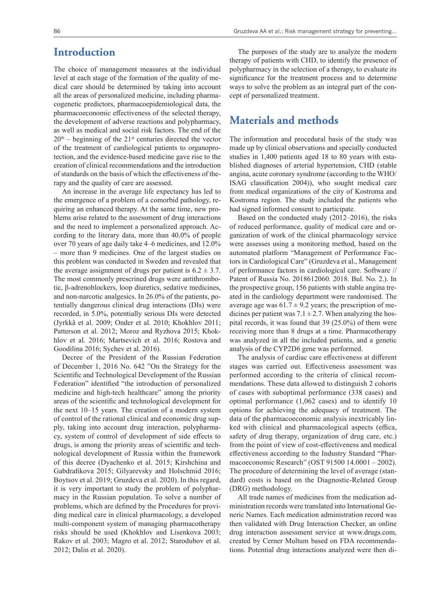### **Introduction**

The choice of management measures at the individual level at each stage of the formation of the quality of medical care should be determined by taking into account all the areas of personalized medicine, including pharmacogenetic predictors, pharmacoepidemiological data, the pharmacoeconomic effectiveness of the selected therapy, the development of adverse reactions and polypharmacy, as well as medical and social risk factors. The end of the  $20<sup>th</sup>$  – beginning of the  $21<sup>st</sup>$  centuries directed the vector of the treatment of cardiological patients to organoprotection, and the evidence-based medicine gave rise to the creation of clinical recommendations and the introduction of standards on the basis of which the effectiveness of therapy and the quality of care are assessed.

An increase in the average life expectancy has led to the emergence of a problem of a comorbid pathology, requiring an enhanced therapy. At the same time, new problems arise related to the assessment of drug interactions and the need to implement a personalized approach. According to the literary data, more than 40.0% of people over 70 years of age daily take 4–6 medicines, and 12.0% – more than 9 medicines. One of the largest studies on this problem was conducted in Sweden and revealed that the average assignment of drugs per patient is  $6.2 \pm 3.7$ . The most commonly prescrined drugs were antithrombotic, β-adrenoblockers, loop diuretics, sedative medicines, and non-narcotic analgesics. In 26.0% of the patients, potentially dangerous clinical drug interactions (DIs) were recorded, in 5.0%, potentially serious DIs were detected (Jyrkkä et al. 2009; Onder et al. 2010; Khokhlov 2011; Patterson et al. 2012; Moroz and Ryzhova 2015; Khokhlov et al. 2016; Martsevich et al. 2016; Rostova and Goodilina 2016; Sychev et al. 2016).

Decree of the President of the Russian Federation of December 1, 2016 No. 642 "On the Strategy for the Scientific and Technological Development of the Russian Federation" identified "the introduction of personalized medicine and high-tech healthcare" among the priority areas of the scientific and technological development for the next 10–15 years. The creation of a modern system of control of the rational clinical and economic drug supply, taking into account drug interaction, polypharmacy, system of control of development of side effects to drugs, is among the priority areas of scientific and technological development of Russia within the framework of this decree (Dyachenko et al. 2015; Kirshchina and Gabdrafikova 2015; Gilyarevsky and Holschmid 2016; Boytsov et al. 2019; Gruzdeva et al. 2020). In this regard, it is very important to study the problem of polypharmacy in the Russian population. To solve a number of problems, which are defined by the Procedures for providing medical care in clinical pharmacology, a developed multi-component system of managing pharmacotherapy risks should be used (Khokhlov and Lisenkova 2003; Rakov et al. 2003; Magro et al. 2012; Starodubov et al. 2012; Dalin et al. 2020).

The purposes of the study are to analyze the modern therapy of patients with CHD, to identify the presence of polypharmacy in the selection of a therapy, to evaluate its significance for the treatment process and to determine ways to solve the problem as an integral part of the concept of personalized treatment.

### **Materials and methods**

The information and procedural basis of the study was made up by clinical observations and specially conducted studies in 1,400 patients aged 18 to 80 years with established diagnoses of arterial hypertension, CHD (stable angina, acute coronary syndrome (according to the WHO/ ISAG classification 2004)), who sought medical care from medical organizations of the city of Kostroma and Kostroma region. The study included the patients who had signed informed consent to participate.

Based on the conducted study (2012–2016), the risks of reduced performance, quality of medical care and organization of work of the clinical pharmacology service were assesses using a monitoring method, based on the automated platform "Management of Performance Factors in Cardiological Care" (Gruzdeva et al., Management of performance factors in cardiological care. Software // Patent of Russia No. 2018612060. 2018. Bul. No. 2.). In the prospective group, 156 patients with stable angina treated in the cardiology department were randomised. The average age was  $61.7 \pm 9.2$  years; the prescription of medicines per patient was  $7.1 \pm 2.7$ . When analyzing the hospital records, it was found that 39 (25.0%) of them were receiving more than 8 drugs at a time. Pharmacotherapy was analyzed in all the included patients, and a genetic analysis of the CYP2D6 gene was performed.

The analysis of cardiac care effectiveness at different stages was carried out. Effectiveness assessment was performed according to the criteria of clinical recommendations. These data allowed to distinguish 2 cohorts of cases with suboptimal performance (338 cases) and optimal performance (1,062 cases) and to identify 10 options for achieving the adequacy of treatment. The data of the pharmacoeconomic analysis inextricably linked with clinical and pharmacological aspects (effica, safety of drug therapy, organization of drug care, etc.) from the point of view of cost-effectiveness and medical effectiveness according to the Industry Standard "Pharmacoeconomic Research" (OST 91500 14.0001 – 2002). The procedure of determining the level of average (standard) costs is based on the Diagnostic-Related Group (DRG) methodology.

All trade names of medicines from the medication administration records were translated into International Generic Names. Each medication administration record was then validated with Drug Interaction Checker, an online drug interaction assessment service at www.drugs.com, created by Cerner Multum based on FDA recommendations. Potential drug interactions analyzed were then di-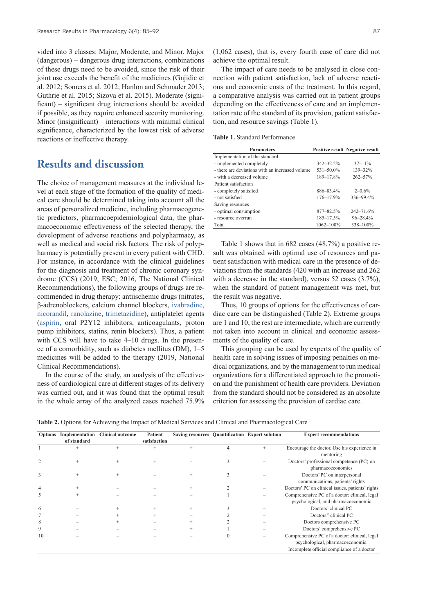vided into 3 classes: Major, Moderate, and Minor. Major (dangerous) – dangerous drug interactions, combinations of these drugs need to be avoided, since the risk of their joint use exceeds the benefit of the medicines (Gnjidic et al. 2012; Somers et al. 2012; Hanlon and Schmader 2013; Guthrie et al. 2015; Sizova et al. 2015). Moderate (significant) – significant drug interactions should be avoided if possible, as they require enhanced security monitoring. Minor (insignificant) – interactions with minimal clinical significance, characterized by the lowest risk of adverse reactions or ineffective therapy.

### **Results and discussion**

The choice of management measures at the individual level at each stage of the formation of the quality of medical care should be determined taking into account all the areas of personalized medicine, including pharmacogenetic predictors, pharmacoepidemiological data, the pharmacoeconomic effectiveness of the selected therapy, the development of adverse reactions and polypharmacy, as well as medical and social risk factors. The risk of polypharmacy is potentially present in every patient with CHD. For instance, in accordance with the clinical guidelines for the diagnosis and treatment of chronic coronary syndrome (CCS) (2019, ESC; 2016, The National Clinical Recommendations), the following groups of drugs are recommended in drug therapy: antiischemic drugs (nitrates, β-adrenoblockers, calcium channel blockers, [ivabradine,](https://pubchem.ncbi.nlm.nih.gov/compound/Ivabradine) [nicorandil,](https://pubchem.ncbi.nlm.nih.gov/compound/Nicorandil) [ranolazine](https://pubchem.ncbi.nlm.nih.gov/compound/Ranolazine), [trimetazidine\)](https://pubchem.ncbi.nlm.nih.gov/compound/Trimetazidine), antiplatelet agents [\(aspirin,](https://pubchem.ncbi.nlm.nih.gov/compound/Aspirin) oral P2Y12 inhibitors, anticoagulants, proton pump inhibitors, statins, renin blockers). Thus, a patient with CCS will have to take 4–10 drugs. In the presence of a comorbidity, such as diabetes mellitus (DM), 1–5 medicines will be added to the therapy (2019, National Clinical Recommendations).

In the course of the study, an analysis of the effectiveness of cardiological care at different stages of its delivery was carried out, and it was found that the optimal result in the whole array of the analyzed cases reached 75.9% (1,062 cases), that is, every fourth case of care did not achieve the optimal result.

The impact of care needs to be analysed in close connection with patient satisfaction, lack of adverse reactions and economic costs of the treatment. In this regard, a comparative analysis was carried out in patient groups depending on the effectiveness of care and an implementation rate of the standard of its provision, patient satisfaction, and resource savings (Table 1).

**Table 1.** Standard Performance

| <b>Parameters</b>                               |                | <b>Positive result Negative result</b> |  |
|-------------------------------------------------|----------------|----------------------------------------|--|
| Implementation of the standard                  |                |                                        |  |
| - implemented completely                        | $342 - 32.2\%$ | $37 - 11\%$                            |  |
| - there are deviations with an increased volume | $531 - 50.0\%$ | $139 - 32\%$                           |  |
| - with a decreased volume                       | 189-17.8%      | $262 - 57%$                            |  |
| Patient satisfaction                            |                |                                        |  |
| - completely satisfied                          | 886-83.4%      | $2 - 0.6\%$                            |  |
| - not satisfied                                 | $176 - 17.9%$  | 336-99.4%                              |  |
| Saving resources                                |                |                                        |  |
| - optimal consumption                           | 877-82.5%      | $242 - 71.6%$                          |  |
| - resource overrun                              | $185 - 17.5%$  | $96 - 28.4\%$                          |  |
| Total                                           | 1062-100%      | 338-100%                               |  |

Table 1 shows that in 682 cases (48.7%) a positive result was obtained with optimal use of resources and patient satisfaction with medical care in the presence of deviations from the standards (420 with an increase and 262 with a decrease in the standard), versus 52 cases (3.7%), when the standard of patient management was met, but the result was negative.

Thus, 10 groups of options for the effectiveness of cardiac care can be distinguished (Table 2). Extreme groups are 1 and 10, the rest are intermediate, which are currently not taken into account in clinical and economic assessments of the quality of care.

This grouping can be used by experts of the quality of health care in solving issues of imposing penalties on medical organizations, and by the management to run medical organizations for a differentiated approach to the promotion and the punishment of health care providers. Deviation from the standard should not be considered as an absolute criterion for assessing the provision of cardiac care.

**Table 2.** Options for Achieving the Impact of Medical Services and Clinical and Pharmacological Care

|    | Options Implementation | <b>Clinical outcome</b> | <b>Patient</b> | Saving resources Quantification Expert solution |   | <b>Expert recommendations</b>                                                                                                   |
|----|------------------------|-------------------------|----------------|-------------------------------------------------|---|---------------------------------------------------------------------------------------------------------------------------------|
|    | of standard            |                         | satisfaction   |                                                 |   |                                                                                                                                 |
|    |                        | $\ddot{}$               | $\ddot{}$      |                                                 | 4 | Encourage the doctor. Use his experience in<br>mentoring                                                                        |
|    | $+$                    | $+$                     | $+$            |                                                 | 3 | Doctors' professional competence (PC) on<br>pharmacoeconomics                                                                   |
| 3  | $^{+}$                 |                         |                | $^{+}$                                          | 3 | Doctors' PC on interpersonal<br>communications, patients' rights                                                                |
| 4  | $^{+}$                 |                         |                | $^{+}$                                          |   | Doctors' PC on clinical issues, patients' rights                                                                                |
| 5  | $^{+}$                 |                         |                |                                                 |   | Comprehensive PC of a doctor: clinical, legal<br>psychological, and pharmacoeconomic                                            |
| 6  |                        |                         |                | $^{+}$                                          |   | Doctors' clinical PC                                                                                                            |
|    |                        |                         |                |                                                 |   | Doctors" clinical PC                                                                                                            |
| 8  |                        |                         |                |                                                 |   | Doctors comprehensive PC                                                                                                        |
| 9  |                        |                         |                |                                                 |   | Doctors' comprehensive PC                                                                                                       |
| 10 |                        |                         |                |                                                 |   | Comprehensive PC of a doctor: clinical, legal<br>psychological, pharmacoeconomic.<br>Incomplete official compliance of a doctor |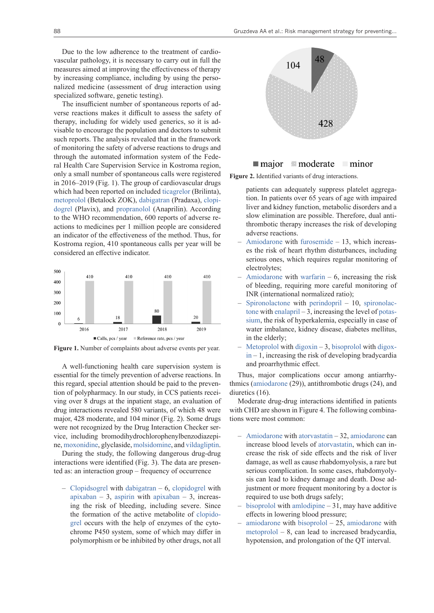Due to the low adherence to the treatment of cardiovascular pathology, it is necessary to carry out in full the measures aimed at improving the effectiveness of therapy by increasing compliance, including by using the personalized medicine (assessment of drug interaction using specialized software, genetic testing).

The insufficient number of spontaneous reports of adverse reactions makes it difficult to assess the safety of therapy, including for widely used generics, so it is advisable to encourage the population and doctors to submit such reports. The analysis revealed that in the framework of monitoring the safety of adverse reactions to drugs and through the automated information system of the Federal Health Care Supervision Service in Kostroma region, only a small number of spontaneous calls were registered in 2016–2019 (Fig. 1). The group of cardiovascular drugs which had been reported on included [ticagrelor](https://pubchem.ncbi.nlm.nih.gov/compound/Ticagrelor) (Brilinta), [metoprolol](https://pubchem.ncbi.nlm.nih.gov/compound/Metoprolol) (Betalock ZOK), [dabigatran](https://pubchem.ncbi.nlm.nih.gov/compound/Dabigatran) (Pradaxa), [clopi](https://pubchem.ncbi.nlm.nih.gov/compound/Clopidogrel)[dogrel](https://pubchem.ncbi.nlm.nih.gov/compound/Clopidogrel) (Plavix), and [propranolol](https://pubchem.ncbi.nlm.nih.gov/compound/Propranolol) (Anaprilin). According to the WHO recommendation, 600 reports of adverse reactions to medicines per 1 million people are considered an indicator of the effectiveness of the method. Thus, for Kostroma region, 410 spontaneous calls per year will be considered an effective indicator.



**Figure 1.** Number of complaints about adverse events per year.

A well-functioning health care supervision system is essential for the timely prevention of adverse reactions. In this regard, special attention should be paid to the prevention of polypharmacy. In our study, in CCS patients receiving over 8 drugs at the inpatient stage, an evaluation of drug interactions revealed 580 variants, of which 48 were major, 428 moderate, and 104 minor (Fig. 2). Some drugs were not recognized by the Drug Interaction Checker service, including bromodihydrochlorophenylbenzodiazepine, [moxonidine,](https://pubchem.ncbi.nlm.nih.gov/compound/Moxonidine) glyclaside, [molsidomine,](https://pubchem.ncbi.nlm.nih.gov/compound/Molsidomine) and [vildagliptin](https://pubchem.ncbi.nlm.nih.gov/compound/Galvus).

During the study, the following dangerous drug-drug interactions were identified (Fig. 3). The data are presented as: an interaction group – frequency of occurrence

– [Clopidsogrel](https://pubchem.ncbi.nlm.nih.gov/compound/Clopidogrel) with [dabigatran](https://pubchem.ncbi.nlm.nih.gov/compound/Dabigatran) – 6, [clopidogrel](https://pubchem.ncbi.nlm.nih.gov/compound/Clopidogrel) with [apixaban](https://pubchem.ncbi.nlm.nih.gov/compound/Apixaban) – 3, [aspirin](https://pubchem.ncbi.nlm.nih.gov/compound/Aspirin) with [apixaban](https://pubchem.ncbi.nlm.nih.gov/compound/Apixaban) – 3, increasing the risk of bleeding, including severe. Since the formation of the active metabolite of [clopido](https://pubchem.ncbi.nlm.nih.gov/compound/Clopidogrel)[grel](https://pubchem.ncbi.nlm.nih.gov/compound/Clopidogrel) occurs with the help of enzymes of the cytochrome P450 system, some of which may differ in polymorphism or be inhibited by other drugs, not all



#### $\blacksquare$  major  $\blacksquare$  moderate minor

**Figure 2.** Identified variants of drug interactions.

patients can adequately suppress platelet aggregation. In patients over 65 years of age with impaired liver and kidney function, metabolic disorders and a slow elimination are possible. Therefore, dual antithrombotic therapy increases the risk of developing adverse reactions.

- [Amiodarone](https://pubchem.ncbi.nlm.nih.gov/compound/Amiodarone) with [furosemide](https://pubchem.ncbi.nlm.nih.gov/compound/Furosemide)  $-13$ , which increases the risk of heart rhythm disturbances, including serious ones, which requires regular monitoring of electrolytes;
- [Amiodarone](https://pubchem.ncbi.nlm.nih.gov/compound/Amiodarone) with [warfarin](https://pubchem.ncbi.nlm.nih.gov/compound/Warfarin)  $-6$ , increasing the risk of bleeding, requiring more careful monitoring of INR (international normalized ratio);
- [Spironolactone](https://pubchem.ncbi.nlm.nih.gov/compound/Spironolactone) with [perindopril](https://pubchem.ncbi.nlm.nih.gov/compound/Perindopril)  $-10$ , [spironolac](https://pubchem.ncbi.nlm.nih.gov/compound/Spironolactone)[tone](https://pubchem.ncbi.nlm.nih.gov/compound/Spironolactone) with [enalapril](https://pubchem.ncbi.nlm.nih.gov/compound/Enalapril)  $-3$ , increasing the level of [potas](https://pubchem.ncbi.nlm.nih.gov/compound/Potassium)[sium](https://pubchem.ncbi.nlm.nih.gov/compound/Potassium), the risk of hyperkalemia, especially in case of water imbalance, kidney disease, diabetes mellitus, in the elderly;
- [Metoprolol](https://pubchem.ncbi.nlm.nih.gov/compound/Metoprolol) with [digoxin](https://pubchem.ncbi.nlm.nih.gov/compound/Digoxin)  3, [bisoprolol](https://pubchem.ncbi.nlm.nih.gov/compound/Bisoprolol) with [digox](https://pubchem.ncbi.nlm.nih.gov/compound/Digoxin) $in - 1$  $in - 1$ , increasing the risk of developing bradycardia and proarrhythmic effect.

Thus, major complications occur among antiarrhythmics [\(amiodarone](https://pubchem.ncbi.nlm.nih.gov/compound/Amiodarone) (29)), antithrombotic drugs (24), and diuretics (16).

Moderate drug-drug interactions identified in patients with CHD are shown in Figure 4. The following combinations were most common:

- [Amiodarone](https://pubchem.ncbi.nlm.nih.gov/compound/Amiodarone) with [atorvastatin](file://FILESRV/docs1/Work/JOURNALS/RRPharmacology/__WORK__/60164/A)  32, [amiodarone](https://pubchem.ncbi.nlm.nih.gov/compound/Amiodarone) can increase blood levels of [atorvastatin](file://FILESRV/docs1/Work/JOURNALS/RRPharmacology/__WORK__/60164/A), which can increase the risk of side effects and the risk of liver damage, as well as cause rhabdomyolysis, a rare but serious complication. In some cases, rhabdomyolysis can lead to kidney damage and death. Dose adjustment or more frequent monitoring by a doctor is required to use both drugs safely;
- [bisoprolol](https://pubchem.ncbi.nlm.nih.gov/compound/Bisoprolol) with [amlodipine](https://pubchem.ncbi.nlm.nih.gov/compound/Amlodipine)  $-31$ , may have additive effects in lowering blood pressure;
- [amiodarone](https://pubchem.ncbi.nlm.nih.gov/compound/Amiodarone) with [bisoprolol](https://pubchem.ncbi.nlm.nih.gov/compound/Bisoprolol)  $-25$ , [amiodarone](https://pubchem.ncbi.nlm.nih.gov/compound/Amiodarone) with [metoprolol](https://pubchem.ncbi.nlm.nih.gov/compound/Metoprolol) – 8, can lead to increased bradycardia, hypotension, and prolongation of the QT interval.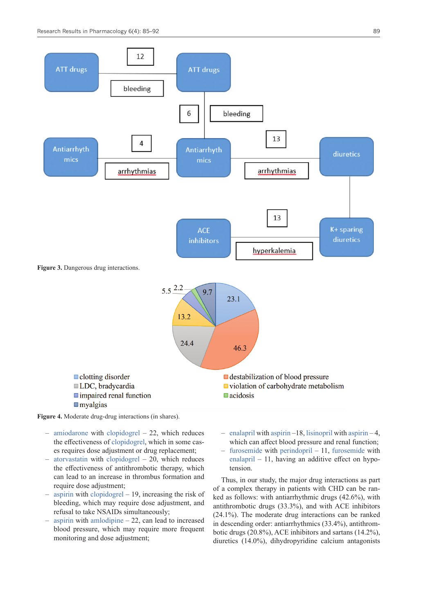

**Figure 4.** Moderate drug-drug interactions (in shares).

- [amiodarone](https://pubchem.ncbi.nlm.nih.gov/compound/Amiodarone) with [clopidogrel](https://pubchem.ncbi.nlm.nih.gov/compound/Clopidogrel) 22, which reduces the effectiveness of [clopidogrel,](https://pubchem.ncbi.nlm.nih.gov/compound/Clopidogrel) which in some cases requires dose adjustment or drug replacement;
- [atorvastatin](file://FILESRV/docs1/Work/JOURNALS/RRPharmacology/__WORK__/60164/A) with [clopidogrel](https://pubchem.ncbi.nlm.nih.gov/compound/Clopidogrel)  20, which reduces the effectiveness of antithrombotic therapy, which can lead to an increase in thrombus formation and require dose adjustment;
- [aspirin](https://pubchem.ncbi.nlm.nih.gov/compound/Aspirin) with [clopidogrel](https://pubchem.ncbi.nlm.nih.gov/compound/Clopidogrel)  19, increasing the risk of bleeding, which may require dose adjustment, and refusal to take NSAIDs simultaneously;
- [aspirin](https://pubchem.ncbi.nlm.nih.gov/compound/Aspirin) with [amlodipine](https://pubchem.ncbi.nlm.nih.gov/compound/Amlodipine) 22, can lead to increased blood pressure, which may require more frequent monitoring and dose adjustment;
- [enalapril](https://pubchem.ncbi.nlm.nih.gov/compound/Enalapril) with [aspirin](https://pubchem.ncbi.nlm.nih.gov/compound/Aspirin) –18, [lisinopril](https://pubchem.ncbi.nlm.nih.gov/compound/Lisinopril) with [aspirin](https://pubchem.ncbi.nlm.nih.gov/compound/Aspirin) 4, which can affect blood pressure and renal function;
- [furosemide](https://pubchem.ncbi.nlm.nih.gov/compound/Furosemide) with [perindopril](https://pubchem.ncbi.nlm.nih.gov/compound/Perindopril)  11, [furosemide](https://pubchem.ncbi.nlm.nih.gov/compound/Furosemide) with [enalapril](https://pubchem.ncbi.nlm.nih.gov/compound/Enalapril)  $-11$ , having an additive effect on hypotension.

Thus, in our study, the major drug interactions as part of a complex therapy in patients with CHD can be ranked as follows: with antiarrhythmic drugs (42.6%), with antithrombotic drugs (33.3%), and with ACE inhibitors (24.1%). The moderate drug interactions can be ranked in descending order: antiarrhythmics (33.4%), antithrombotic drugs (20.8%), ACE inhibitors and sartans (14.2%), diuretics (14.0%), dihydropyridine calcium antagonists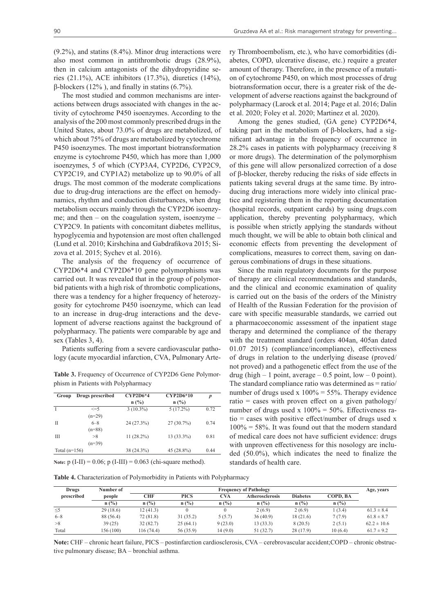The most studied and common mechanisms are interactions between drugs associated with changes in the activity of cytochrome P450 isoenzymes. According to the analysis of the 200 most commonly prescribed drugs in the United States, about 73.0% of drugs are metabolized, of which about 75% of drugs are metabolized by cytochrome P450 isoenzymes. The most important biotransformation enzyme is cytochrome P450, which has more than 1,000 isoenzymes, 5 of which (CYP3A4, CYP2D6, CYP2C9, CYP2C19, and CYP1A2) metabolize up to 90.0% of all drugs. The most common of the moderate complications due to drug-drug interactions are the effect on hemodynamics, rhythm and conduction disturbances, when drug metabolism occurs mainly through the CYP2D6 isoenzyme; and then – on the coagulation system, isoenzyme – CYP2C9. In patients with concomitant diabetes mellitus, hypoglycemia and hypotension are most often challenged (Lund et al. 2010; Kirshchina and Gabdrafikova 2015; Sizova et al. 2015; Sychev et al. 2016).

The analysis of the frequency of occurrence of CYP2D6\*4 and CYP2D6\*10 gene polymorphisms was carried out. It was revealed that in the group of polymorbid patients with a high risk of thrombotic complications, there was a tendency for a higher frequency of heterozygosity for cytochrome P450 isoenzyme, which can lead to an increase in drug-drug interactions and the development of adverse reactions against the background of polypharmacy. The patients were comparable by age and sex (Tables 3, 4).

Patients suffering from a severe cardiovascular pathology (acute myocardial infarction, CVA, Pulmonary Arte-

**Table 3.** Frequency of Occurrence of CYP2D6 Gene Polymorphism in Patients with Polypharmacy

| Group           | Drugs prescribed                | $CYP2D6*4$<br>n(%) | CYP2D6*10<br>$n$ (%) | $\boldsymbol{p}$ |
|-----------------|---------------------------------|--------------------|----------------------|------------------|
| I               | $\leq$ =5                       | $3(10.3\%)$        | $5(17.2\%)$          | 0.72             |
| П               | $(n=29)$<br>$6 - 8$<br>$(n=88)$ | 24 (27.3%)         | $27(30.7\%)$         | 0.74             |
| Ш               | >8<br>$(n=39)$                  | $11(28.2\%)$       | $13(33.3\%)$         | 0.81             |
| Total $(n=156)$ |                                 | 38 (24.3%)         | 45 (28.8%)           | 0.44             |

**Note:** p (I-II) = 0.06; p (I-III) = 0.063 (chi-square method).

**Table 4.** Characterization of Polymorbidity in Patients with Polypharmacy

ry Thromboembolism, etc.), who have comorbidities (diabetes, COPD, ulcerative disease, etc.) require a greater amount of therapy. Therefore, in the presence of a mutation of cytochrome Р450, on which most processes of drug biotransformation occur, there is a greater risk of the development of adverse reactions against the background of polypharmacy (Larock et al. 2014; Page et al. 2016; Dalin et al. 2020; Foley et al. 2020; Martinez et al. 2020).

Among the genes studied, (GA gene) CYP2D6\*4, taking part in the metabolism of β-blockers, had a significant advantage in the frequency of occurrence in 28.2% cases in patients with polypharmacy (receiving 8 or more drugs). The determination of the polymorphism of this gene will allow personalized correction of a dose of β-blocker, thereby reducing the risks of side effects in patients taking several drugs at the same time. By introducing drug interactions more widely into clinical practice and registering them in the reporting documentation (hospital records, outpatient cards) by using drugs.com application, thereby preventing polypharmacy, which is possible when strictly applying the standards without much thought, we will be able to obtain both clinical and economic effects from preventing the development of complications, measures to correct them, saving on dangerous combinations of drugs in these situations.

Since the main regulatory documents for the purpose of therapy are clinical recommendations and standards, and the clinical and economic examination of quality is carried out on the basis of the orders of the Ministry of Health of the Russian Federation for the provision of care with specific measurable standards, we carried out a pharmacoeconomic assessment of the inpatient stage therapy and determined the compliance of the therapy with the treatment standard (orders 404an, 405an dated 01.07 2015) (compliance/incompliance), effectiveness of drugs in relation to the underlying disease (proved/ not proved) and a pathogenetic effect from the use of the drug (high  $-1$  point, average  $-0.5$  point, low  $-0$  point). The standard compliance ratio was determined as  $=$  ratio/ number of drugs used x  $100\% = 55\%$ . Therapy evidence ratio = cases with proven effect on a given pathology/ number of drugs used x  $100\% = 50\%$ . Effectiveness ratio = cases with positive effect/number of drugs used x  $100\% = 58\%$ . It was found out that the modern standard of medical care does not have sufficient evidence: drugs with unproven effectiveness for this nosology are included (50.0%), which indicates the need to finalize the standards of health care.

| Drugs      | Number of | <b>Frequency of Pathology</b> |             |         |                        |                 |          | Age, years      |
|------------|-----------|-------------------------------|-------------|---------|------------------------|-----------------|----------|-----------------|
| prescribed | people    | CHF                           | <b>PICS</b> | CVA     | <b>Atherosclerosis</b> | <b>Diabetes</b> | COPD. BA |                 |
|            | n(%)      | n(%)                          | n(%)        | n(%)    | $n$ (%)                | $n$ (%)         | n(%)     |                 |
| $\leq 5$   | 29(18.6)  | 12(41.3)                      |             |         | 2(6.9)                 | 2(6.9)          | 1(3.4)   | $61.3 \pm 8.4$  |
| $6 - 8$    | 88 (56.4) | 72 (81.8)                     | 31(35.2)    | 5(5.7)  | 36(40.9)               | 18 (21.6)       | 7(7.9)   | $61.8 \pm 8.7$  |
| >8         | 39(25)    | 32(82.7)                      | 25(64.1)    | 9(23.0) | 13(33.3)               | 8(20.5)         | 2(5.1)   | $62.2 \pm 10.6$ |
| Total      | 156 (100) | 116 (74.4)                    | 56 (35.9)   | 14(9.0) | 51 (32.7)              | 28 (17.9)       | 10(6.4)  | $61.7 \pm 9.2$  |

**Note:** CHF – chronic heart failure, PICS – postinfarction cardiosclerosis, CVA – cerebrovascular accident;COPD – chronic obstructive pulmonary disease; BA – bronchial asthma.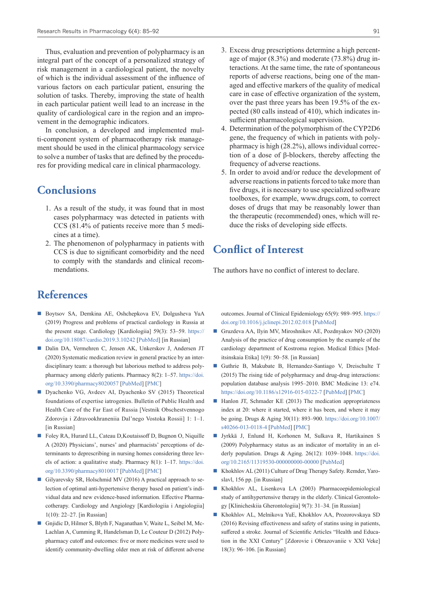Thus, evaluation and prevention of polypharmacy is an integral part of the concept of a personalized strategy of risk management in a cardiological patient, the novelty of which is the individual assessment of the influence of various factors on each particular patient, ensuring the solution of tasks. Thereby, improving the state of health in each particular patient weill lead to an increase in the quality of cardiological care in the region and an improvement in the demographic indicators.

In conclusion, a developed and implemented multi-component system of pharmacotherapy risk management should be used in the clinical pharmacology service to solve a number of tasks that are defined by the procedures for providing medical care in clinical pharmacology.

### **Conclusions**

- 1. As a result of the study, it was found that in most cases polypharmacy was detected in patients with CCS (81.4% of patients receive more than 5 medicines at a time).
- 2. The phenomenon of polypharmacy in patients with CCS is due to significant comorbidity and the need to comply with the standards and clinical recommendations.
- 3. Excess drug prescriptions determine a high percentage of major (8.3%) and moderate (73.8%) drug interactions. At the same time, the rate of spontaneous reports of adverse reactions, being one of the managed and effective markers of the quality of medical care in case of effective organization of the system, over the past three years has been 19.5% of the expected (80 calls instead of 410), which indicates insufficient pharmacological supervision.
- 4. Determination of the polymorphism of the CYP2D6 gene, the frequency of which in patients with polypharmacy is high (28.2%), allows individual correction of a dose of β-blockers, thereby affecting the frequency of adverse reactions.
- 5. In order to avoid and/or reduce the development of adverse reactions in patients forced to take more than five drugs, it is necessary to use specialized software toolboxes, for example, www.drugs.com, to correct doses of drugs that may be reasonably lower than the therapeutic (recommended) ones, which will reduce the risks of developing side effects.

### **Conflict of Interest**

The authors have no conflict of interest to declare.

## **References**

- Boytsov SA, Demkina AE, Oshchepkova EV, Dolgusheva YuA (2019) Progress and problems of practical cardiology in Russia at the present stage. Cardiology [Kardiologiia] 59(3): 53–59. [https://](https://doi.org/10.18087/cardio.2019.3.10242) [doi.org/10.18087/cardio.2019.3.10242](https://doi.org/10.18087/cardio.2019.3.10242) [\[PubMed](https://pubmed.ncbi.nlm.nih.gov/30990142/)] [in Russian]
- Dalin DA, Vermehren C, Jensen AK, Unkerskov J, Andersen JT (2020) Systematic medication review in general practice by an interdisciplinary team: a thorough but laborious method to address polypharmacy among elderly patients. Pharmacy 8(2): 1–57. [https://doi.](https://doi.org/10.3390/pharmacy8020057) [org/10.3390/pharmacy8020057](https://doi.org/10.3390/pharmacy8020057) [[PubMed\]](https://pubmed.ncbi.nlm.nih.gov/32244439/) [[PMC\]](https://www.ncbi.nlm.nih.gov/pmc/articles/PMC7356921/)
- Dyachenko VG, Avdeev AI, Dyachenko SV (2015) Theoretical foundations of expertise iatrogenies. Bulletin of Public Health and Health Care of the Far East of Russia [Vestnik Obschestvennogo Zdorovja i Zdravookhraneniia Dal'nego Vostoka Rossii] 1: 1–1. [in Russian]
- Foley RA, Hurard LL, Cateau D, Koutaissoff D, Bugnon O, Niquille A (2020) Physicians', nurses' and pharmacists' perceptions of determinants to deprescribing in nursing homes considering three levels of action: a qualitative study. Pharmacy 8(1): 1–17. [https://doi.](https://doi.org/10.3390/pharmacy8010017) [org/10.3390/pharmacy8010017](https://doi.org/10.3390/pharmacy8010017) [[PubMed\]](https://pubmed.ncbi.nlm.nih.gov/32046022/) [[PMC\]](https://www.ncbi.nlm.nih.gov/pmc/articles/PMC7151677/)
- Gilyarevsky SR, Holschmid MV (2016) A practical approach to selection of optimal anti-hypertensive therapy based on patient's individual data and new evidence-based information. Effective Pharmacotherapy. Cardiology and Angiology [Kardiologiia i Angiologiia] 1(10): 22–27. [in Russian]
- Gniidic D, Hilmer S, Blyth F, Naganathan V, Waite L, Seibel M, Mc-Lachlan A, Cumming R, Handelsman D, Le Couteur D (2012) Polypharmacy cutoff and outcomes: five or more medicines were used to identify community-dwelling older men at risk of different adverse

outcomes. Journal of Clinical Epidemiology 65(9): 989–995. [https://](https://doi.org/10.1016/j.jclinepi.2012.02.018) [doi.org/10.1016/j.jclinepi.2012.02.018](https://doi.org/10.1016/j.jclinepi.2012.02.018) [[PubMed\]](https://pubmed.ncbi.nlm.nih.gov/22742913/)

- Gruzdeva AA, Ilyin MV, Miroshnikov AE, Pozdnyakov NO (2020) Analysis of the practice of drug consumption by the example of the cardiology department of Kostroma region. Medical Ethics [Meditsinskaia Etika] 1(9): 50–58. [in Russian]
- Guthrie B, Makubate B, Hernandez-Santiago V, Dreischulte T (2015) The rising tide of polypharmacy and drug-drug interactions: population database analysis 1995–2010. BMC Medicine 13: e74. <https://doi.org/10.1186/s12916-015-0322-7>[[PubMed\]](https://pubmed.ncbi.nlm.nih.gov/25889849/) [[PMC\]](https://www.ncbi.nlm.nih.gov/pmc/articles/PMC4417329/)
- $\blacksquare$  Hanlon JT, Schmader KE (2013) The medication appropriateness index at 20: where it started, where it has been, and where it may be going. Drugs & Aging 30(11): 893–900. [https://doi.org/10.1007/](https://doi.org/10.1007/s40266-013-0118-4) [s40266-013-0118-4](https://doi.org/10.1007/s40266-013-0118-4) [\[PubMed](https://pubmed.ncbi.nlm.nih.gov/24062215/)] [[PMC](https://www.ncbi.nlm.nih.gov/pmc/articles/PMC3831621/)]
- Jyrkkä J, Enlund H, Korhonen M, Sulkava R, Hartikainen S (2009) Polypharmacy status as an indicator of mortality in an elderly population. Drugs & Aging. 26(12): 1039–1048. [https://doi.](https://doi.org/10.2165/11319530-000000000-00000) [org/10.2165/11319530-000000000-00000](https://doi.org/10.2165/11319530-000000000-00000) [\[PubMed](https://pubmed.ncbi.nlm.nih.gov/19929031/)]
- Khokhlov AL (2011) Culture of Drug Therapy Safety. Remder, Yaroslavl, 156 pp. [in Russian]
- Khokhlov AL, Lisenkova LA (2003) Pharmacoepidemiological study of antihypertensive therapy in the elderly. Clinical Gerontology [Klinicheskiia Gherontologiia] 9(7): 31–34. [in Russian]
- Khokhlov AL, Melnikova YuE, Khokhlov AA, Prozorovskaya SD (2016) Revising effectiveness and safety of statins using in patients, suffered a stroke. Journal of Scientific Articles "Health and Education in the XXI Century" [Zdorovie i Obrazovaniie v XXI Veke] 18(3): 96–106. [in Russian]